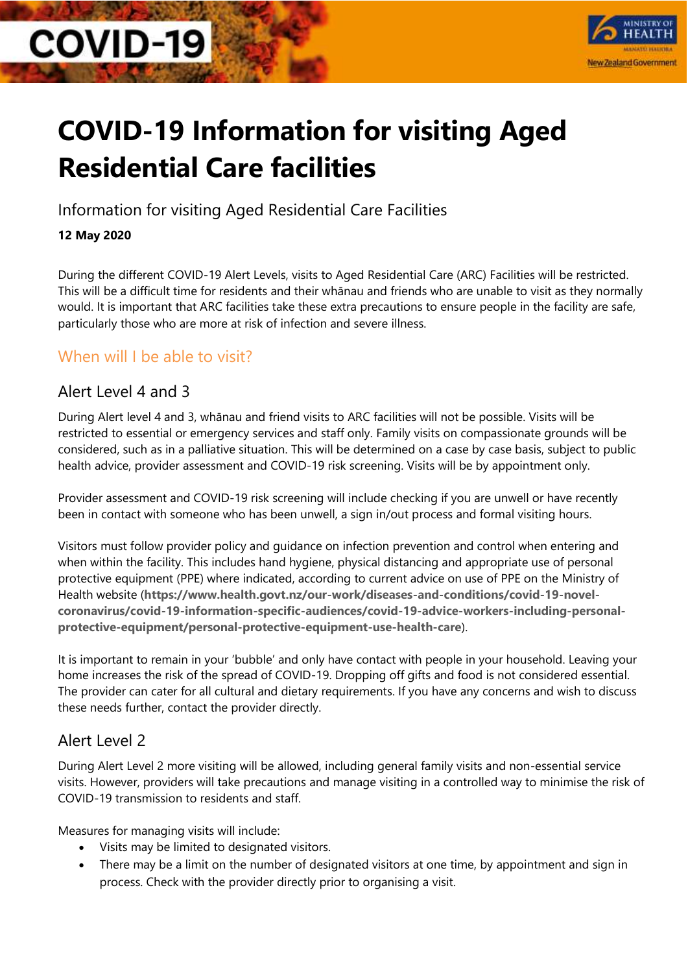# **COVID-19**



# **COVID-19 Information for visiting Aged Residential Care facilities**

Information for visiting Aged Residential Care Facilities

#### **12 May 2020**

During the different COVID-19 Alert Levels, visits to Aged Residential Care (ARC) Facilities will be restricted. This will be a difficult time for residents and their whānau and friends who are unable to visit as they normally would. It is important that ARC facilities take these extra precautions to ensure people in the facility are safe, particularly those who are more at risk of infection and severe illness.

# When will I be able to visit?

## Alert Level 4 and 3

During Alert level 4 and 3, whānau and friend visits to ARC facilities will not be possible. Visits will be restricted to essential or emergency services and staff only. Family visits on compassionate grounds will be considered, such as in a palliative situation. This will be determined on a case by case basis, subject to public health advice, provider assessment and COVID-19 risk screening. Visits will be by appointment only.

Provider assessment and COVID-19 risk screening will include checking if you are unwell or have recently been in contact with someone who has been unwell, a sign in/out process and formal visiting hours.

Visitors must follow provider policy and guidance on infection prevention and control when entering and when within the facility. This includes hand hygiene, physical distancing and appropriate use of personal protective equipment (PPE) where indicated, according to current advice on use of PPE on the Ministry of Health website (**[https://www.health.govt.nz/our-work/diseases-and-conditions/covid-19-novel](https://www.health.govt.nz/our-work/diseases-and-conditions/covid-19-novel-coronavirus/covid-19-information-specific-audiences/covid-19-advice-workers-including-personal-protective-equipment/personal-protective-equipment-use-health-care)[coronavirus/covid-19-information-specific-audiences/covid-19-advice-workers-including-personal](https://www.health.govt.nz/our-work/diseases-and-conditions/covid-19-novel-coronavirus/covid-19-information-specific-audiences/covid-19-advice-workers-including-personal-protective-equipment/personal-protective-equipment-use-health-care)[protective-equipment/personal-protective-equipment-use-health-care](https://www.health.govt.nz/our-work/diseases-and-conditions/covid-19-novel-coronavirus/covid-19-information-specific-audiences/covid-19-advice-workers-including-personal-protective-equipment/personal-protective-equipment-use-health-care)**).

It is important to remain in your 'bubble' and only have contact with people in your household. Leaving your home increases the risk of the spread of COVID-19. Dropping off gifts and food is not considered essential. The provider can cater for all cultural and dietary requirements. If you have any concerns and wish to discuss these needs further, contact the provider directly.

# Alert Level 2

During Alert Level 2 more visiting will be allowed, including general family visits and non-essential service visits. However, providers will take precautions and manage visiting in a controlled way to minimise the risk of COVID-19 transmission to residents and staff.

Measures for managing visits will include:

- Visits may be limited to designated visitors.
- There may be a limit on the number of designated visitors at one time, by appointment and sign in process. Check with the provider directly prior to organising a visit.